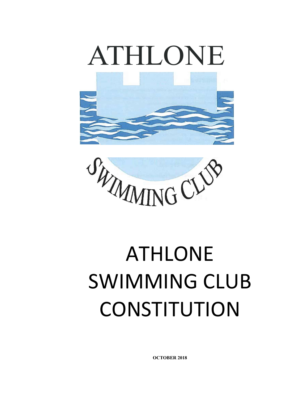





# ATHLONE SWIMMING CLUB **CONSTITUTION**

OCTOBER 2018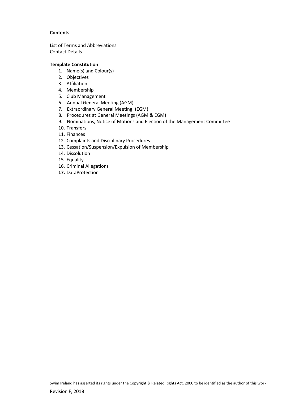#### **Contents**

List of Terms and Abbreviations Contact Details

#### Template Constitution

- 1. Name(s) and Colour(s)
- 2. Objectives
- 3. Affiliation
- 4. Membership
- 5. Club Management
- 6. Annual General Meeting (AGM)
- 7. Extraordinary General Meeting (EGM)
- 8. Procedures at General Meetings (AGM & EGM)
- 9. Nominations, Notice of Motions and Election of the Management Committee
- 10. Transfers
- 11. Finances
- 12. Complaints and Disciplinary Procedures
- 13. Cessation/Suspension/Expulsion of Membership
- 14. Dissolution
- 15. Equality
- 16. Criminal Allegations
- 17. DataProtection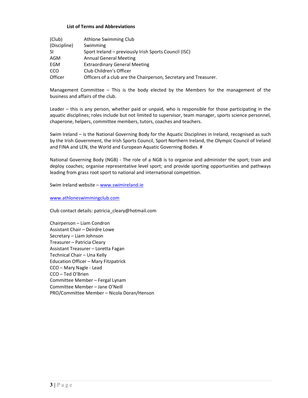#### List of Terms and Abbreviations

| (Club)       | Athlone Swimming Club                                            |
|--------------|------------------------------------------------------------------|
| (Discipline) | Swimming                                                         |
| -SI          | Sport Ireland - previously Irish Sports Council (ISC)            |
| AGM          | <b>Annual General Meeting</b>                                    |
| EGM          | <b>Extraordinary General Meeting</b>                             |
| CCO          | Club Children's Officer                                          |
| Officer      | Officers of a club are the Chairperson, Secretary and Treasurer. |

Management Committee – This is the body elected by the Members for the management of the business and affairs of the club.

Leader – this is any person, whether paid or unpaid, who is responsible for those participating in the aquatic disciplines; roles include but not limited to supervisor, team manager, sports science personnel, chaperone, helpers, committee members, tutors, coaches and teachers.

Swim Ireland – is the National Governing Body for the Aquatic Disciplines in Ireland, recognised as such by the Irish Government, the Irish Sports Council, Sport Northern Ireland, the Olympic Council of Ireland and FINA and LEN, the World and European Aquatic Governing Bodies. #

National Governing Body (NGB) - The role of a NGB is to organise and administer the sport; train and deploy coaches; organise representative level sport; and provide sporting opportunities and pathways leading from grass root sport to national and international competition.

Swim Ireland website - www.swimireland.ie

www.athloneswimmingclub.com

Club contact details: patricia\_cleary@hotmail.com

Chairperson – Liam Condron Assistant Chair – Deirdre Lowe Secretary – Liam Johnson Treasurer – Patricia Cleary Assistant Treasurer – Loretta Fagan Technical Chair – Una Kelly Education Officer – Mary Fitzpatrick CCO – Mary Nagle - Lead CCO – Ted O'Brien Committee Member – Fergal Lynam Committee Member – Jane O'Neill PRO/Committee Member – Nicola Doran/Henson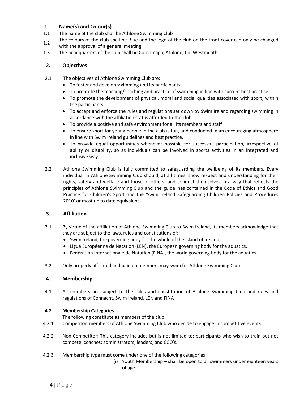# 1. Name(s) and Colour(s)

- 1.1 The name of the club shall be Athlone Swimming Club
- 1.2 The colours of the club shall be Blue and the logo of the club on the front cover can only be changed with the approval of a general meeting
- 1.3 The headquarters of the club shall be Cornamagh, Athlone, Co. Westmeath

# 2. Objectives

- 2.1 The objectives of Athlone Swimming Club are:
	- To foster and develop swimming and its participants
	- To promote the teaching/coaching and practice of swimming in line with current best practice.
	- To promote the development of physical, moral and social qualities associated with sport, within the participants.
	- To accept and enforce the rules and regulations set down by Swim Ireland regarding swimming in accordance with the affiliation status afforded to the club.
	- To provide a positive and safe environment for all its members and staff
	- To ensure sport for young people in the club is fun, and conducted in an encouraging atmosphere in line with Swim Ireland guidelines and best practice.
	- To provide equal opportunities whenever possible for successful participation, irrespective of ability or disability, so as individuals can be involved in sports activities in an integrated and inclusive way.
- 2.2 Athlone Swimming Club is fully committed to safeguarding the wellbeing of its members. Every individual in Athlone Swimming Club should, at all times, show respect and understanding for their rights, safety and welfare and those of others, and conduct themselves in a way that reflects the principles of Athlone Swimming Club and the guidelines contained in the Code of Ethics and Good Practice for Children's Sport and the 'Swim Ireland Safeguarding Children Policies and Procedures 2010' or most up to date equivalent.

# 3. Affiliation

- 3.1 By virtue of the affiliation of Athlone Swimming Club to Swim Ireland, its members acknowledge that they are subject to the laws, rules and constitutions of:
	- Swim Ireland, the governing body for the whole of the island of Ireland.
	- Ligue Européenne de Natation (LEN), the European governing body for the aquatics.
	- Fédération Internationale de Natation (FINA), the world governing body for the aquatics.
- 3.2 Only properly affiliated and paid up members may swim for Athlone Swimming Club

# 4. Membership

4.1 All members are subject to the rules and constitution of Athlone Swimming Club and rules and regulations of Connacht, Swim Ireland, LEN and FINA

# 4.2 Membership Categories

The following constitute as members of the club:

- 4.2.1 Competitor: members of Athlone Swimming Club who decide to engage in competitive events.
- 4.2.2 Non-Competitor: This category includes but is not limited to: participants who wish to train but not compete; coaches; administrators; leaders; and CCO's.
- 4.2.3 Membership type must come under one of the following categories:
	- (i) Youth Membership shall be open to all swimmers under eighteen years of age.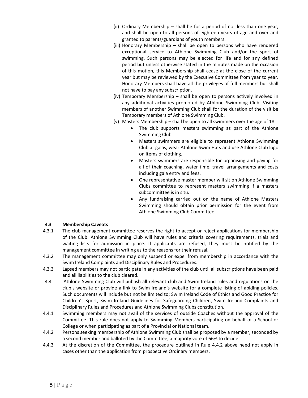- (ii) Ordinary Membership shall be for a period of not less than one year, and shall be open to all persons of eighteen years of age and over and granted to parents/guardians of youth members.
- (iii) Honorary Membership shall be open to persons who have rendered exceptional service to Athlone Swimming Club and/or the sport of swimming. Such persons may be elected for life and for any defined period but unless otherwise stated in the minutes made on the occasion of this motion, this Membership shall cease at the close of the current year but may be reviewed by the Executive Committee from year to year. Honorary Members shall have all the privileges of full members but shall not have to pay any subscription.
- (iv) Temporary Membership shall be open to persons actively involved in any additional activities promoted by Athlone Swimming Club. Visiting members of another Swimming Club shall for the duration of the visit be Temporary members of Athlone Swimming Club.
- (v) Masters Membership shall be open to all swimmers over the age of 18.
	- The club supports masters swimming as part of the Athlone Swimming Club
	- Masters swimmers are eligible to represent Athlone Swimming Club at galas, wear Athlone Swim Hats and use Athlone Club logo on items of clothing.
	- Masters swimmers are responsible for organising and paying for all of their coaching, water time, travel arrangements and costs including gala entry and fees.
	- One representative master member will sit on Athlone Swimming Clubs committee to represent masters swimming if a masters subcommittee is in situ.
	- Any fundraising carried out on the name of Athlone Masters Swimming should obtain prior permission for the event from Athlone Swimming Club Committee.

# 4.3 Membership Caveats

- 4.3.1 The club management committee reserves the right to accept or reject applications for membership of the Club. Athlone Swimming Club will have rules and criteria covering requirements, trials and waiting lists for admission in place. If applicants are refused, they must be notified by the management committee in writing as to the reasons for their refusal.
- 4.3.2 The management committee may only suspend or expel from membership in accordance with the Swim Ireland Complaints and Disciplinary Rules and Procedures.
- 4.3.3 Lapsed members may not participate in any activities of the club until all subscriptions have been paid and all liabilities to the club cleared.
- 4.4 Athlone Swimming Club will publish all relevant club and Swim Ireland rules and regulations on the club's website or provide a link to Swim Ireland's website for a complete listing of abiding policies. Such documents will include but not be limited to; Swim Ireland Code of Ethics and Good Practice for Children's Sport, Swim Ireland Guidelines for Safeguarding Children, Swim Ireland Complaints and Disciplinary Rules and Procedures and Athlone Swimming Clubs constitution.
- 4.4.1 Swimming members may not avail of the services of outside Coaches without the approval of the Committee. This rule does not apply to Swimming Members participating on behalf of a School or College or when participating as part of a Provincial or National team.
- 4.4.2 Persons seeking membership of Athlone Swimming Club shall be proposed by a member, seconded by a second member and balloted by the Committee, a majority vote of 66% to decide.
- 4.4.3 At the discretion of the Committee, the procedure outlined in Rule 4.4.2 above need not apply in cases other than the application from prospective Ordinary members.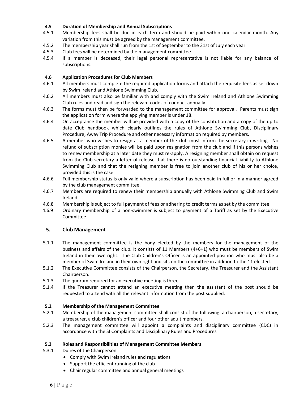# 4.5 Duration of Membership and Annual Subscriptions

- 4.5.1 Membership fees shall be due in each term and should be paid within one calendar month. Any variation from this must be agreed by the management committee.
- 4.5.2 The membership year shall run from the 1st of September to the 31st of July each year
- 4.5.3 Club fees will be determined by the management committee.
- 4.5.4 If a member is deceased, their legal personal representative is not liable for any balance of subscriptions.

# 4.6 Application Procedures for Club Members

- 4.6.1 All members must complete the required application forms and attach the requisite fees as set down by Swim Ireland and Athlone Swimming Club.
- 4.6.2 All members must also be familiar with and comply with the Swim Ireland and Athlone Swimming Club rules and read and sign the relevant codes of conduct annually.
- 4.6.3 The forms must then be forwarded to the management committee for approval. Parents must sign the application form where the applying member is under 18.
- 4.6.4 On acceptance the member will be provided with a copy of the constitution and a copy of the up to date Club handbook which clearly outlines the rules of Athlone Swimming Club, Disciplinary Procedure, Away Trip Procedure and other necessary information required by members.
- 4.6.5 A member who wishes to resign as a member of the club must inform the secretary in writing. No refund of subscription monies will be paid upon resignation from the club and if this persons wishes to renew membership at a later date they must re-apply. A resigning member shall obtain on request from the Club secretary a letter of release that there is no outstanding financial liability to Athlone Swimming Club and that the resigning member is free to join another club of his or her choice, provided this is the case.
- 4.6.6 Full membership status is only valid where a subscription has been paid in full or in a manner agreed by the club management committee.
- 4.6.7 Members are required to renew their membership annually with Athlone Swimming Club and Swim Ireland.
- 4.6.8 Membership is subject to full payment of fees or adhering to credit terms as set by the committee.
- 4.6.9 Ordinary membership of a non-swimmer is subject to payment of a Tariff as set by the Executive Committee.

# 5. Club Management

- 5.1.1 The management committee is the body elected by the members for the management of the business and affairs of the club. It consists of 11 Members (4+6+1) who must be members of Swim Ireland in their own right. The Club Children's Officer is an appointed position who must also be a member of Swim Ireland in their own right and sits on the committee in addition to the 11 elected.
- 5.1.2 The Executive Committee consists of the Chairperson, the Secretary, the Treasurer and the Assistant Chairperson.
- 5.1.3 The quorum required for an executive meeting is three.
- 5.1.4 If the Treasurer cannot attend an executive meeting then the assistant of the post should be requested to attend with all the relevant information from the post supplied.

#### 5.2 Membership of the Management Committee

- 5.2.1 Membership of the management committee shall consist of the following: a chairperson, a secretary, a treasurer, a club children's officer and four other adult members.
- 5.2.3 The management committee will appoint a complaints and disciplinary committee (CDC) in accordance with the SI Complaints and Disciplinary Rules and Procedures

# 5.3 Roles and Responsibilities of Management Committee Members

- 5.3.1 Duties of the Chairperson
	- Comply with Swim Ireland rules and regulations
	- Support the efficient running of the club
	- Chair regular committee and annual general meetings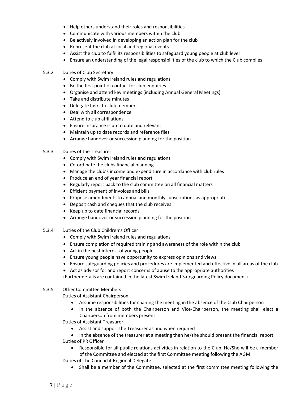- Help others understand their roles and responsibilities
- Communicate with various members within the club
- Be actively involved in developing an action plan for the club
- Represent the club at local and regional events
- Assist the club to fulfil its responsibilities to safeguard young people at club level
- Ensure an understanding of the legal responsibilities of the club to which the Club complies

#### 5.3.2 Duties of Club Secretary

- Comply with Swim Ireland rules and regulations
- Be the first point of contact for club enquiries
- Organise and attend key meetings (including Annual General Meetings)
- Take and distribute minutes
- Delegate tasks to club members
- Deal with all correspondence
- Attend to club affiliations
- Ensure insurance is up to date and relevant
- Maintain up to date records and reference files
- Arrange handover or succession planning for the position

#### 5.3.3 Duties of the Treasurer

- Comply with Swim Ireland rules and regulations
- Co-ordinate the clubs financial planning
- Manage the club's income and expenditure in accordance with club rules
- Produce an end of year financial report
- Regularly report back to the club committee on all financial matters
- Efficient payment of invoices and bills
- Propose amendments to annual and monthly subscriptions as appropriate
- Deposit cash and cheques that the club receives
- Keep up to date financial records
- Arrange handover or succession planning for the position
- 5.3.4 Duties of the Club Children's Officer
	- Comply with Swim Ireland rules and regulations
	- Ensure completion of required training and awareness of the role within the club
	- Act in the best interest of young people
	- Ensure young people have opportunity to express opinions and views
	- Ensure safeguarding policies and procedures are implemented and effective in all areas of the club
	- Act as advisor for and report concerns of abuse to the appropriate authorities

(Further details are contained in the latest Swim Ireland Safeguarding Policy document)

#### 5.3.5 Other Committee Members

Duties of Assistant Chairperson

- Assume responsibilities for chairing the meeting in the absence of the Club Chairperson
- In the absence of both the Chairperson and Vice-Chairperson, the meeting shall elect a Chairperson from members present

Duties of Assistant Treasurer

- Assist and support the Treasurer as and when required
- In the absence of the treasurer at a meeting then he/she should present the financial report Duties of PR Officer
	- Responsible for all public relations activities in relation to the Club. He/She will be a member of the Committee and elected at the first Committee meeting following the AGM.
- Duties of The Connacht Regional Delegate
	- Shall be a member of the Committee, selected at the first committee meeting following the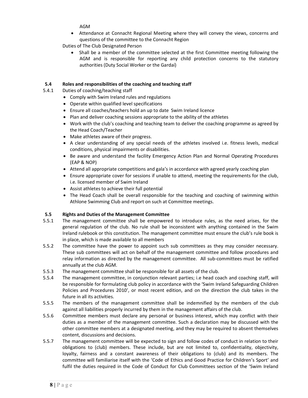AGM

 Attendance at Connacht Regional Meeting where they will convey the views, concerns and questions of the committee to the Connacht Region

Duties of The Club Designated Person

• Shall be a member of the committee selected at the first Committee meeting following the AGM and is responsible for reporting any child protection concerns to the statutory authorities (Duty Social Worker or the Gardaí)

# 5.4 Roles and responsibilities of the coaching and teaching staff

- 5.4.1 Duties of coaching/teaching staff
	- Comply with Swim Ireland rules and regulations
	- Operate within qualified level specifications
	- Ensure all coaches/teachers hold an up to date Swim Ireland licence
	- Plan and deliver coaching sessions appropriate to the ability of the athletes
	- Work with the club's coaching and teaching team to deliver the coaching programme as agreed by the Head Coach/Teacher
	- Make athletes aware of their progress.
	- A clear understanding of any special needs of the athletes involved i.e. fitness levels, medical conditions, physical impairments or disabilities.
	- Be aware and understand the facility Emergency Action Plan and Normal Operating Procedures (EAP & NOP)
	- Attend all appropriate competitions and gala's in accordance with agreed yearly coaching plan
	- Ensure appropriate cover for sessions if unable to attend, meeting the requirements for the club, i.e. licensed member of Swim Ireland
	- Assist athletes to achieve their full potential
	- The Head Coach shall be overall responsible for the teaching and coaching of swimming within Athlone Swimming Club and report on such at Committee meetings.

# 5.5 Rights and Duties of the Management Committee

- 5.5.1 The management committee shall be empowered to introduce rules, as the need arises, for the general regulation of the club. No rule shall be inconsistent with anything contained in the Swim Ireland rulebook or this constitution. The management committee must ensure the club's rule book is in place, which is made available to all members
- 5.5.2 The committee have the power to appoint such sub committees as they may consider necessary. These sub committees will act on behalf of the management committee and follow procedures and relay information as directed by the management committee. All sub-committees must be ratified annually at the club AGM.
- 5.5.3 The management committee shall be responsible for all assets of the club.
- 5.5.4 The management committee, in conjunction relevant parties; i.e head coach and coaching staff, will be responsible for formulating club policy in accordance with the 'Swim Ireland Safeguarding Children Policies and Procedures 2010', or most recent edition, and on the direction the club takes in the future in all its activities.
- 5.5.5 The members of the management committee shall be indemnified by the members of the club against all liabilities properly incurred by them in the management affairs of the club.
- 5.5.6 Committee members must declare any personal or business interest, which may conflict with their duties as a member of the management committee. Such a declaration may be discussed with the other committee members at a designated meeting, and they may be required to absent themselves content, discussions and decisions.
- 5.5.7 The management committee will be expected to sign and follow codes of conduct in relation to their obligations to (club) members. These include, but are not limited to, confidentiality, objectivity, loyalty, fairness and a constant awareness of their obligations to (club) and its members. The committee will familiarise itself with the 'Code of Ethics and Good Practice for Children's Sport' and fulfil the duties required in the Code of Conduct for Club Committees section of the 'Swim Ireland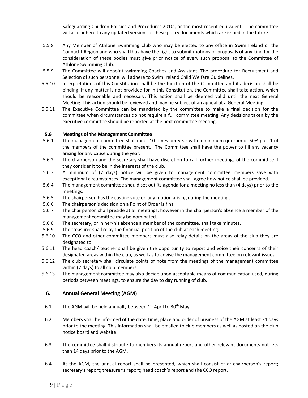Safeguarding Children Policies and Procedures 2010', or the most recent equivalent. The committee will also adhere to any updated versions of these policy documents which are issued in the future

- 5.5.8 Any Member of Athlone Swimming Club who may be elected to any office in Swim Ireland or the Connacht Region and who shall thus have the right to submit motions or proposals of any kind for the consideration of these bodies must give prior notice of every such proposal to the Committee of Athlone Swimming Club.
- 5.5.9 The Committee will appoint swimming Coaches and Assistant. The procedure for Recruitment and Selection of such personnel will adhere to Swim Ireland Child Welfare Guidelines.
- 5.5.10 Interpretations of this Constitution shall be the function of the Committee and its decision shall be binding. If any matter is not provided for in this Constitution, the Committee shall take action, which should be reasonable and necessary. This action shall be deemed valid until the next General Meeting. This action should be reviewed and may be subject of an appeal at a General Meeting.
- 5.5.11 The Executive Committee can be mandated by the committee to make a final decision for the committee when circumstances do not require a full committee meeting. Any decisions taken by the executive committee should be reported at the next committee meeting.

#### 5.6 Meetings of the Management Committee

- 5.6.1 The management committee shall meet 10 times per year with a minimum quorum of 50% plus 1 of the members of the committee present. The Committee shall have the power to fill any vacancy arising for any cause during the year.
- 5.6.2 The chairperson and the secretary shall have discretion to call further meetings of the committee if they consider it to be in the interests of the club.
- 5.6.3 A minimum of (7 days) notice will be given to management committee members save with exceptional circumstances. The management committee shall agree how notice shall be provided.
- 5.6.4 The management committee should set out its agenda for a meeting no less than (4 days) prior to the meetings.
- 5.6.5 The chairperson has the casting vote on any motion arising during the meetings.
- 5.6.6 The chairperson's decision on a Point of Order is final
- 5.6.7 The chairperson shall preside at all meetings; however in the chairperson's absence a member of the management committee may be nominated.
- 5.6.8 The secretary, or in her/his absence a member of the committee, shall take minutes.
- 5.6.9 The treasurer shall relay the financial position of the club at each meeting.
- 5.6.10 The CCO and other committee members must also relay details on the areas of the club they are designated to.
- 5.6.11 The head coach/ teacher shall be given the opportunity to report and voice their concerns of their designated areas within the club, as well as to advise the management committee on relevant issues.
- 5.6.12 The club secretary shall circulate points of note from the meetings of the management committee within (7 days) to all club members.
- 5.6.13 The management committee may also decide upon acceptable means of communication used, during periods between meetings, to ensure the day to day running of club.

# 6. Annual General Meeting (AGM)

- 6.1 The AGM will be held annually between  $1<sup>st</sup>$  April to  $30<sup>th</sup>$  May
- 6.2 Members shall be informed of the date, time, place and order of business of the AGM at least 21 days prior to the meeting. This information shall be emailed to club members as well as posted on the club notice board and website.
- 6.3 The committee shall distribute to members its annual report and other relevant documents not less than 14 days prior to the AGM.
- 6.4 At the AGM, the annual report shall be presented, which shall consist of a: chairperson's report; secretary's report; treasurer's report; head coach's report and the CCO report.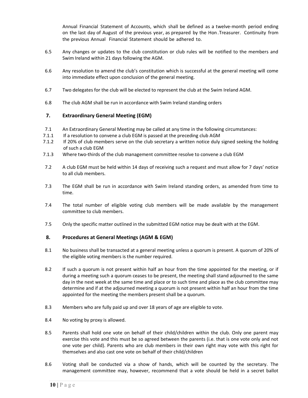Annual Financial Statement of Accounts, which shall be defined as a twelve-month period ending on the last day of August of the previous year, as prepared by the Hon .Treasurer. Continuity from the previous Annual Financial Statement should be adhered to.

- 6.5 Any changes or updates to the club constitution or club rules will be notified to the members and Swim Ireland within 21 days following the AGM.
- 6.6 Any resolution to amend the club's constitution which is successful at the general meeting will come into immediate effect upon conclusion of the general meeting.
- 6.7 Two delegates for the club will be elected to represent the club at the Swim Ireland AGM.
- 6.8 The club AGM shall be run in accordance with Swim Ireland standing orders

# 7. Extraordinary General Meeting (EGM)

- 7.1 An Extraordinary General Meeting may be called at any time in the following circumstances:
- 7.1.1 If a resolution to convene a club EGM is passed at the preceding club AGM
- 7.1.2 If 20% of club members serve on the club secretary a written notice duly signed seeking the holding of such a club EGM
- 7.1.3 Where two-thirds of the club management committee resolve to convene a club EGM
- 7.2 A club EGM must be held within 14 days of receiving such a request and must allow for 7 days' notice to all club members.
- 7.3 The EGM shall be run in accordance with Swim Ireland standing orders, as amended from time to time.
- 7.4 The total number of eligible voting club members will be made available by the management committee to club members.
- 7.5 Only the specific matter outlined in the submitted EGM notice may be dealt with at the EGM.

# 8. Procedures at General Meetings (AGM & EGM)

- 8.1 No business shall be transacted at a general meeting unless a quorum is present. A quorum of 20% of the eligible voting members is the number required.
- 8.2 If such a quorum is not present within half an hour from the time appointed for the meeting, or if during a meeting such a quorum ceases to be present, the meeting shall stand adjourned to the same day in the next week at the same time and place or to such time and place as the club committee may determine and if at the adjourned meeting a quorum is not present within half an hour from the time appointed for the meeting the members present shall be a quorum.
- 8.3 Members who are fully paid up and over 18 years of age are eligible to vote.
- 8.4 No voting by proxy is allowed.
- 8.5 Parents shall hold one vote on behalf of their child/children within the club. Only one parent may exercise this vote and this must be so agreed between the parents (i.e. that is one vote only and not one vote per child). Parents who are club members in their own right may vote with this right for themselves and also cast one vote on behalf of their child/children
- 8.6 Voting shall be conducted via a show of hands, which will be counted by the secretary. The management committee may, however, recommend that a vote should be held in a secret ballot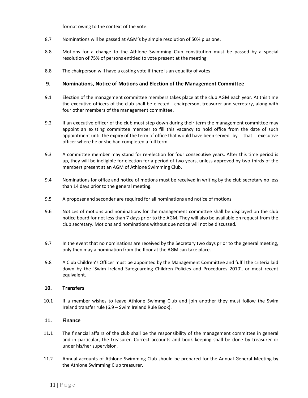format owing to the context of the vote.

- 8.7 Nominations will be passed at AGM's by simple resolution of 50% plus one.
- 8.8 Motions for a change to the Athlone Swimming Club constitution must be passed by a special resolution of 75% of persons entitled to vote present at the meeting.
- 8.8 The chairperson will have a casting vote if there is an equality of votes

#### 9. Nominations, Notice of Motions and Election of the Management Committee

- 9.1 Election of the management committee members takes place at the club AGM each year. At this time the executive officers of the club shall be elected - chairperson, treasurer and secretary, along with four other members of the management committee.
- 9.2 If an executive officer of the club must step down during their term the management committee may appoint an existing committee member to fill this vacancy to hold office from the date of such appointment until the expiry of the term of office that would have been served by that executive officer where he or she had completed a full term.
- 9.3 A committee member may stand for re-election for four consecutive years. After this time period is up, they will be ineligible for election for a period of two years, unless approved by two-thirds of the members present at an AGM of Athlone Swimming Club.
- 9.4 Nominations for office and notice of motions must be received in writing by the club secretary no less than 14 days prior to the general meeting.
- 9.5 A proposer and seconder are required for all nominations and notice of motions.
- 9.6 Notices of motions and nominations for the management committee shall be displayed on the club notice board for not less than 7 days prior to the AGM. They will also be available on request from the club secretary. Motions and nominations without due notice will not be discussed.
- 9.7 In the event that no nominations are received by the Secretary two days prior to the general meeting, only then may a nomination from the floor at the AGM can take place.
- 9.8 A Club Children's Officer must be appointed by the Management Committee and fulfil the criteria laid down by the 'Swim Ireland Safeguarding Children Policies and Procedures 2010', or most recent equivalent.

#### 10. Transfers

10.1 If a member wishes to leave Athlone Swimmg Club and join another they must follow the Swim Ireland transfer rule (6.9 – Swim Ireland Rule Book).

# 11. Finance

- 11.1 The financial affairs of the club shall be the responsibility of the management committee in general and in particular, the treasurer. Correct accounts and book keeping shall be done by treasurer or under his/her supervision.
- 11.2 Annual accounts of Athlone Swimming Club should be prepared for the Annual General Meeting by the Athlone Swimming Club treasurer.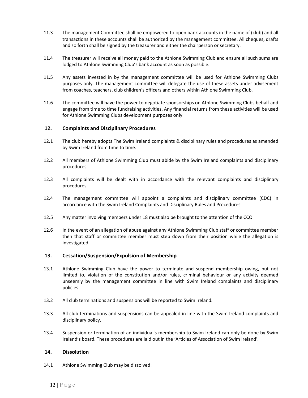- 11.3 The management Committee shall be empowered to open bank accounts in the name of (club) and all transactions in these accounts shall be authorized by the management committee. All cheques, drafts and so forth shall be signed by the treasurer and either the chairperson or secretary.
- 11.4 The treasurer will receive all money paid to the Athlone Swimming Club and ensure all such sums are lodged to Athlone Swimming Club's bank account as soon as possible.
- 11.5 Any assets invested in by the management committee will be used for Athlone Swimming Clubs purposes only. The management committee will delegate the use of these assets under advisement from coaches, teachers, club children's officers and others within Athlone Swimming Club.
- 11.6 The committee will have the power to negotiate sponsorships on Athlone Swimming Clubs behalf and engage from time to time fundraising activities. Any financial returns from these activities will be used for Athlone Swimming Clubs development purposes only.

#### 12. Complaints and Disciplinary Procedures

- 12.1 The club hereby adopts The Swim Ireland complaints & disciplinary rules and procedures as amended by Swim Ireland from time to time.
- 12.2 All members of Athlone Swimming Club must abide by the Swim Ireland complaints and disciplinary procedures
- 12.3 All complaints will be dealt with in accordance with the relevant complaints and disciplinary procedures
- 12.4 The management committee will appoint a complaints and disciplinary committee (CDC) in accordance with the Swim Ireland Complaints and Disciplinary Rules and Procedures
- 12.5 Any matter involving members under 18 must also be brought to the attention of the CCO
- 12.6 In the event of an allegation of abuse against any Athlone Swimming Club staff or committee member then that staff or committee member must step down from their position while the allegation is investigated.

# 13. Cessation/Suspension/Expulsion of Membership

- 13.1 Athlone Swimming Club have the power to terminate and suspend membership owing, but not limited to, violation of the constitution and/or rules, criminal behaviour or any activity deemed unseemly by the management committee in line with Swim Ireland complaints and disciplinary policies
- 13.2 All club terminations and suspensions will be reported to Swim Ireland.
- 13.3 All club terminations and suspensions can be appealed in line with the Swim Ireland complaints and disciplinary policy.
- 13.4 Suspension or termination of an individual's membership to Swim Ireland can only be done by Swim Ireland's board. These procedures are laid out in the 'Articles of Association of Swim Ireland'.

#### 14. Dissolution

14.1 Athlone Swimming Club may be dissolved: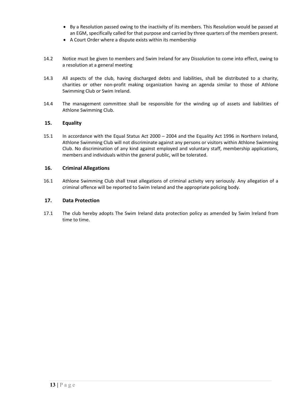- By a Resolution passed owing to the inactivity of its members. This Resolution would be passed at an EGM, specifically called for that purpose and carried by three quarters of the members present.
- A Court Order where a dispute exists within its membership
- 14.2 Notice must be given to members and Swim Ireland for any Dissolution to come into effect, owing to a resolution at a general meeting
- 14.3 All aspects of the club, having discharged debts and liabilities, shall be distributed to a charity, charities or other non-profit making organization having an agenda similar to those of Athlone Swimming Club or Swim Ireland.
- 14.4 The management committee shall be responsible for the winding up of assets and liabilities of Athlone Swimming Club.

# 15. Equality

15.1 In accordance with the Equal Status Act 2000 – 2004 and the Equality Act 1996 in Northern Ireland, Athlone Swimming Club will not discriminate against any persons or visitors within Athlone Swimming Club. No discrimination of any kind against employed and voluntary staff, membership applications, members and individuals within the general public, will be tolerated.

# 16. Criminal Allegations

16.1 Athlone Swimming Club shall treat allegations of criminal activity very seriously. Any allegation of a criminal offence will be reported to Swim Ireland and the appropriate policing body.

# 17. Data Protection

17.1 The club hereby adopts The Swim Ireland data protection policy as amended by Swim Ireland from time to time.